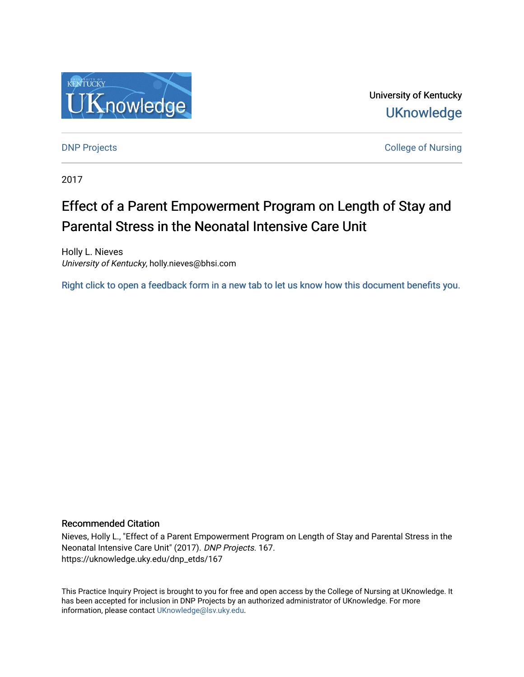

University of Kentucky **UKnowledge** 

[DNP Projects](https://uknowledge.uky.edu/dnp_etds) **College of Nursing** 

2017

# Effect of a Parent Empowerment Program on Length of Stay and Parental Stress in the Neonatal Intensive Care Unit

Holly L. Nieves University of Kentucky, holly.nieves@bhsi.com

[Right click to open a feedback form in a new tab to let us know how this document benefits you.](https://uky.az1.qualtrics.com/jfe/form/SV_9mq8fx2GnONRfz7)

#### Recommended Citation

Nieves, Holly L., "Effect of a Parent Empowerment Program on Length of Stay and Parental Stress in the Neonatal Intensive Care Unit" (2017). DNP Projects. 167. https://uknowledge.uky.edu/dnp\_etds/167

This Practice Inquiry Project is brought to you for free and open access by the College of Nursing at UKnowledge. It has been accepted for inclusion in DNP Projects by an authorized administrator of UKnowledge. For more information, please contact [UKnowledge@lsv.uky.edu](mailto:UKnowledge@lsv.uky.edu).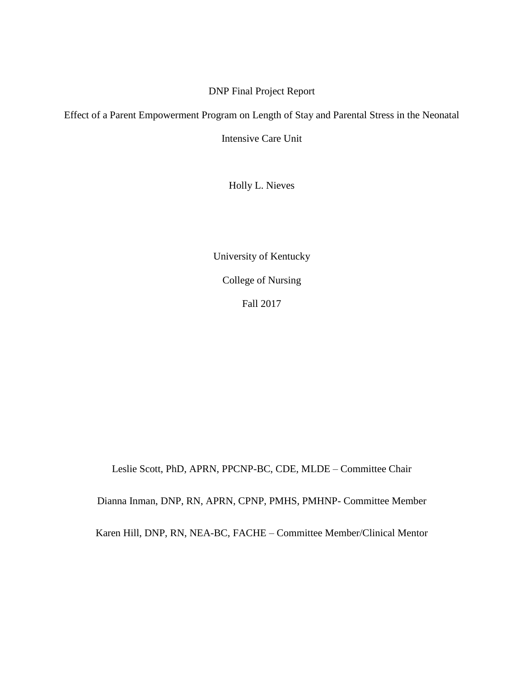## DNP Final Project Report

Effect of a Parent Empowerment Program on Length of Stay and Parental Stress in the Neonatal

Intensive Care Unit

Holly L. Nieves

University of Kentucky College of Nursing Fall 2017

Leslie Scott, PhD, APRN, PPCNP-BC, CDE, MLDE – Committee Chair Dianna Inman, DNP, RN, APRN, CPNP, PMHS, PMHNP- Committee Member Karen Hill, DNP, RN, NEA-BC, FACHE – Committee Member/Clinical Mentor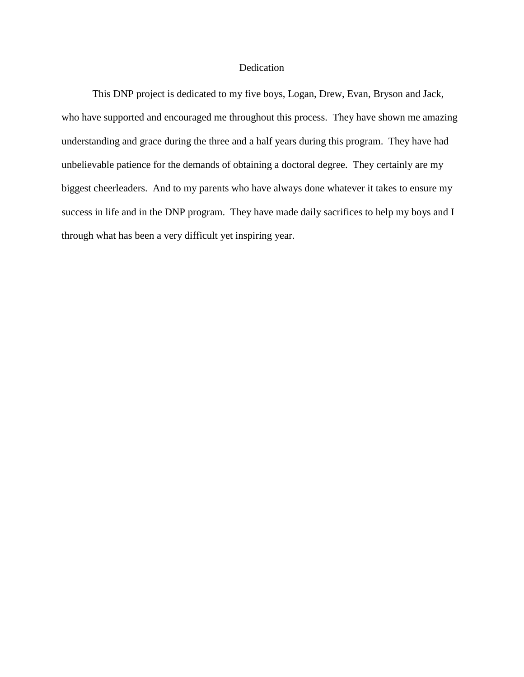### Dedication

This DNP project is dedicated to my five boys, Logan, Drew, Evan, Bryson and Jack, who have supported and encouraged me throughout this process. They have shown me amazing understanding and grace during the three and a half years during this program. They have had unbelievable patience for the demands of obtaining a doctoral degree. They certainly are my biggest cheerleaders. And to my parents who have always done whatever it takes to ensure my success in life and in the DNP program. They have made daily sacrifices to help my boys and I through what has been a very difficult yet inspiring year.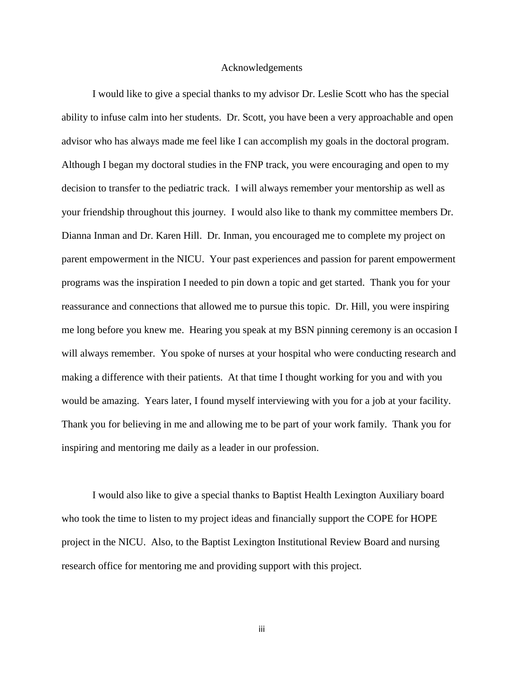#### Acknowledgements

I would like to give a special thanks to my advisor Dr. Leslie Scott who has the special ability to infuse calm into her students. Dr. Scott, you have been a very approachable and open advisor who has always made me feel like I can accomplish my goals in the doctoral program. Although I began my doctoral studies in the FNP track, you were encouraging and open to my decision to transfer to the pediatric track. I will always remember your mentorship as well as your friendship throughout this journey. I would also like to thank my committee members Dr. Dianna Inman and Dr. Karen Hill. Dr. Inman, you encouraged me to complete my project on parent empowerment in the NICU. Your past experiences and passion for parent empowerment programs was the inspiration I needed to pin down a topic and get started. Thank you for your reassurance and connections that allowed me to pursue this topic. Dr. Hill, you were inspiring me long before you knew me. Hearing you speak at my BSN pinning ceremony is an occasion I will always remember. You spoke of nurses at your hospital who were conducting research and making a difference with their patients. At that time I thought working for you and with you would be amazing. Years later, I found myself interviewing with you for a job at your facility. Thank you for believing in me and allowing me to be part of your work family. Thank you for inspiring and mentoring me daily as a leader in our profession.

I would also like to give a special thanks to Baptist Health Lexington Auxiliary board who took the time to listen to my project ideas and financially support the COPE for HOPE project in the NICU. Also, to the Baptist Lexington Institutional Review Board and nursing research office for mentoring me and providing support with this project.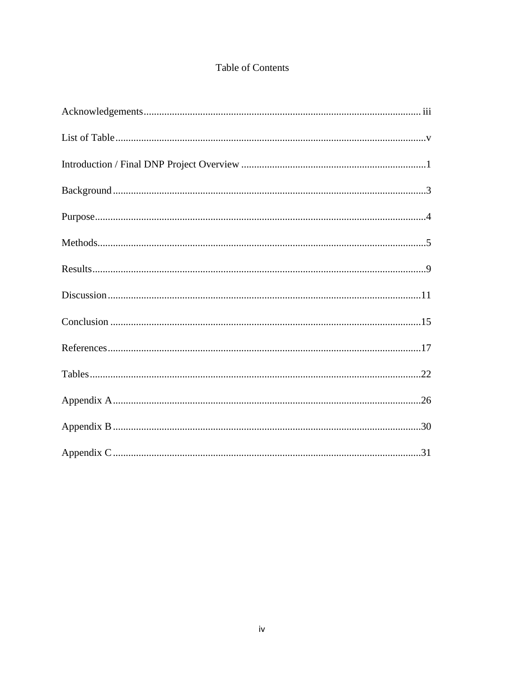# Table of Contents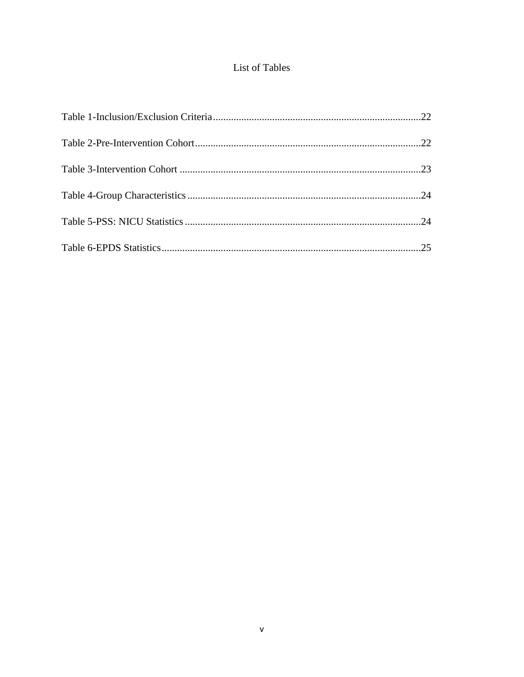# List of Tables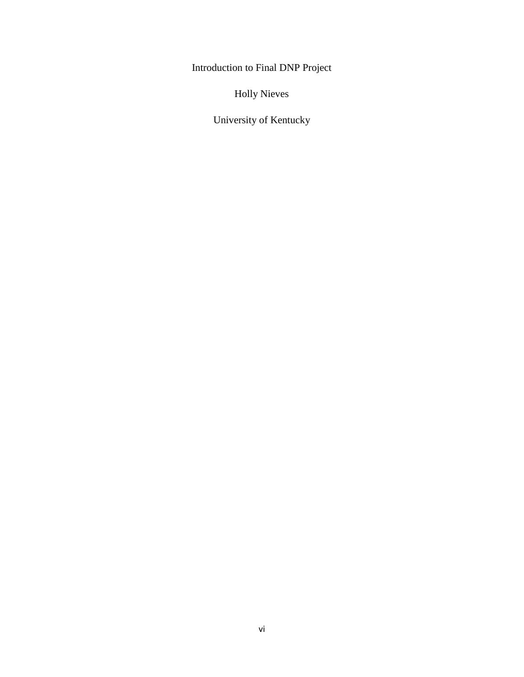Introduction to Final DNP Project

Holly Nieves

University of Kentucky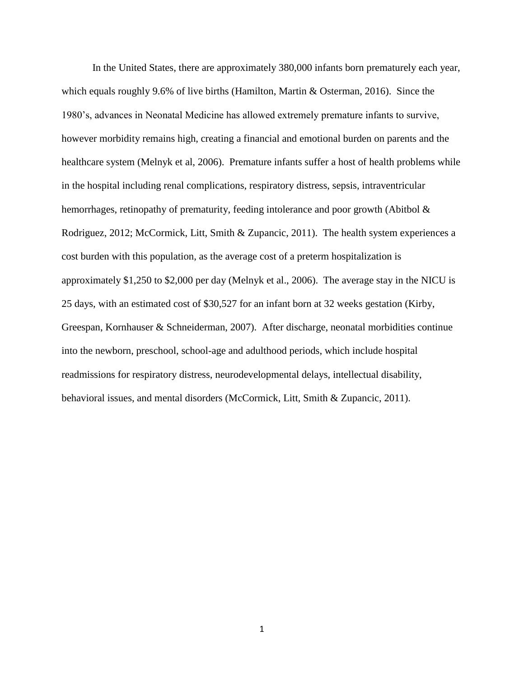In the United States, there are approximately 380,000 infants born prematurely each year, which equals roughly 9.6% of live births (Hamilton, Martin & Osterman, 2016). Since the 1980's, advances in Neonatal Medicine has allowed extremely premature infants to survive, however morbidity remains high, creating a financial and emotional burden on parents and the healthcare system (Melnyk et al, 2006). Premature infants suffer a host of health problems while in the hospital including renal complications, respiratory distress, sepsis, intraventricular hemorrhages, retinopathy of prematurity, feeding intolerance and poor growth (Abitbol & Rodriguez, 2012; McCormick, Litt, Smith & Zupancic, 2011). The health system experiences a cost burden with this population, as the average cost of a preterm hospitalization is approximately \$1,250 to \$2,000 per day (Melnyk et al., 2006). The average stay in the NICU is 25 days, with an estimated cost of \$30,527 for an infant born at 32 weeks gestation (Kirby, Greespan, Kornhauser & Schneiderman, 2007). After discharge, neonatal morbidities continue into the newborn, preschool, school-age and adulthood periods, which include hospital readmissions for respiratory distress, neurodevelopmental delays, intellectual disability, behavioral issues, and mental disorders (McCormick, Litt, Smith & Zupancic, 2011).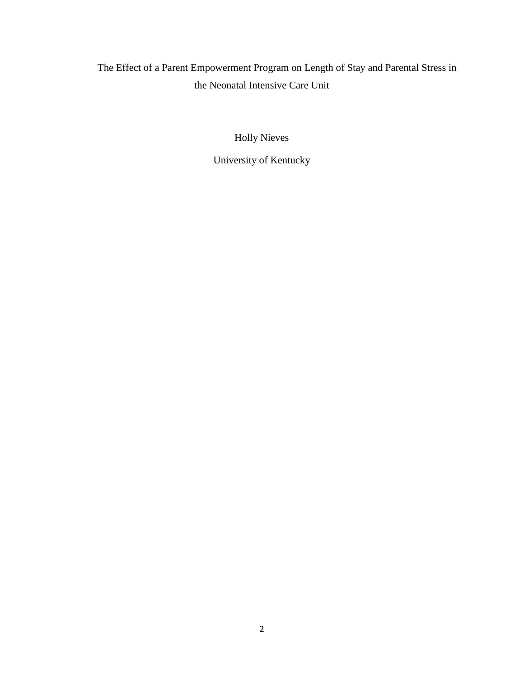The Effect of a Parent Empowerment Program on Length of Stay and Parental Stress in the Neonatal Intensive Care Unit

Holly Nieves

University of Kentucky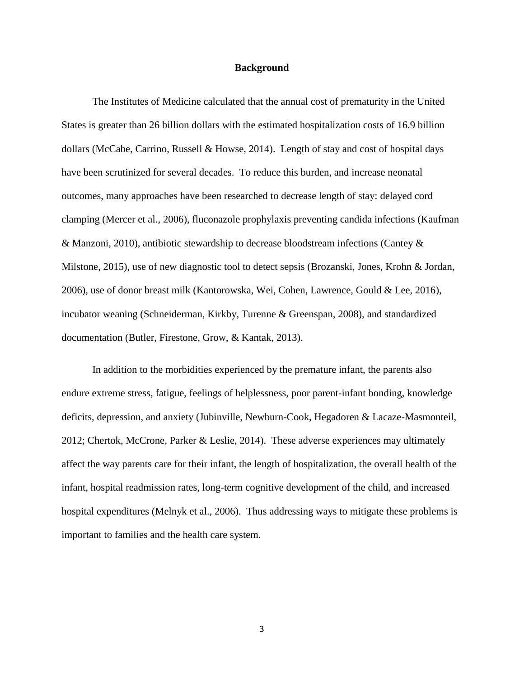#### **Background**

The Institutes of Medicine calculated that the annual cost of prematurity in the United States is greater than 26 billion dollars with the estimated hospitalization costs of 16.9 billion dollars (McCabe, Carrino, Russell & Howse, 2014). Length of stay and cost of hospital days have been scrutinized for several decades. To reduce this burden, and increase neonatal outcomes, many approaches have been researched to decrease length of stay: delayed cord clamping (Mercer et al., 2006), fluconazole prophylaxis preventing candida infections (Kaufman & Manzoni, 2010), antibiotic stewardship to decrease bloodstream infections (Cantey & Milstone, 2015), use of new diagnostic tool to detect sepsis (Brozanski, Jones, Krohn & Jordan, 2006), use of donor breast milk (Kantorowska, Wei, Cohen, Lawrence, Gould & Lee, 2016), incubator weaning (Schneiderman, Kirkby, Turenne & Greenspan, 2008), and standardized documentation (Butler, Firestone, Grow, & Kantak, 2013).

In addition to the morbidities experienced by the premature infant, the parents also endure extreme stress, fatigue, feelings of helplessness, poor parent-infant bonding, knowledge deficits, depression, and anxiety (Jubinville, Newburn-Cook, Hegadoren & Lacaze-Masmonteil, 2012; Chertok, McCrone, Parker & Leslie, 2014). These adverse experiences may ultimately affect the way parents care for their infant, the length of hospitalization, the overall health of the infant, hospital readmission rates, long-term cognitive development of the child, and increased hospital expenditures (Melnyk et al., 2006). Thus addressing ways to mitigate these problems is important to families and the health care system.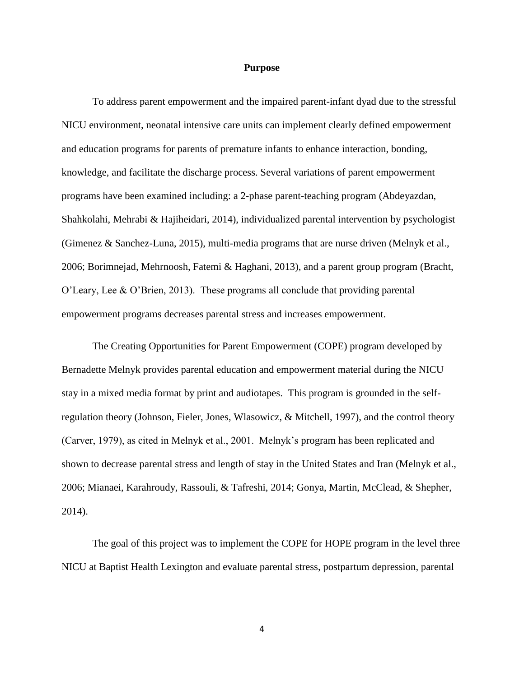#### **Purpose**

To address parent empowerment and the impaired parent-infant dyad due to the stressful NICU environment, neonatal intensive care units can implement clearly defined empowerment and education programs for parents of premature infants to enhance interaction, bonding, knowledge, and facilitate the discharge process. Several variations of parent empowerment programs have been examined including: a 2-phase parent-teaching program (Abdeyazdan, Shahkolahi, Mehrabi & Hajiheidari, 2014), individualized parental intervention by psychologist (Gimenez & Sanchez-Luna, 2015), multi-media programs that are nurse driven (Melnyk et al., 2006; Borimnejad, Mehrnoosh, Fatemi & Haghani, 2013), and a parent group program (Bracht, O'Leary, Lee & O'Brien, 2013). These programs all conclude that providing parental empowerment programs decreases parental stress and increases empowerment.

The Creating Opportunities for Parent Empowerment (COPE) program developed by Bernadette Melnyk provides parental education and empowerment material during the NICU stay in a mixed media format by print and audiotapes. This program is grounded in the selfregulation theory (Johnson, Fieler, Jones, Wlasowicz, & Mitchell, 1997), and the control theory (Carver, 1979), as cited in Melnyk et al., 2001. Melnyk's program has been replicated and shown to decrease parental stress and length of stay in the United States and Iran (Melnyk et al., 2006; Mianaei, Karahroudy, Rassouli, & Tafreshi, 2014; Gonya, Martin, McClead, & Shepher, 2014).

The goal of this project was to implement the COPE for HOPE program in the level three NICU at Baptist Health Lexington and evaluate parental stress, postpartum depression, parental

4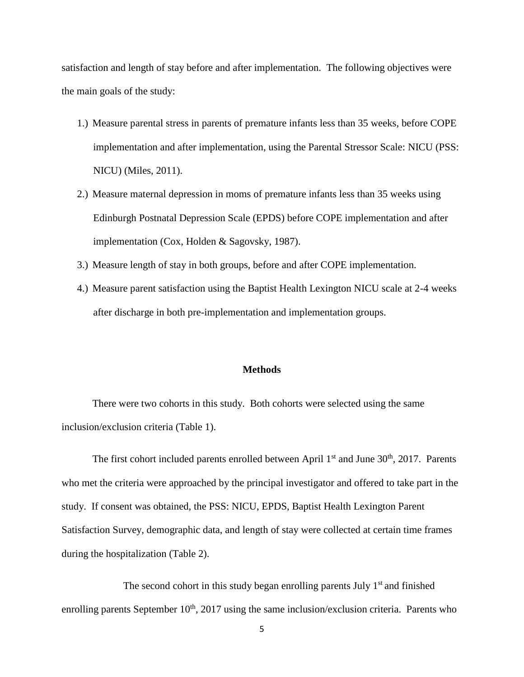satisfaction and length of stay before and after implementation. The following objectives were the main goals of the study:

- 1.) Measure parental stress in parents of premature infants less than 35 weeks, before COPE implementation and after implementation, using the Parental Stressor Scale: NICU (PSS: NICU) (Miles, 2011).
- 2.) Measure maternal depression in moms of premature infants less than 35 weeks using Edinburgh Postnatal Depression Scale (EPDS) before COPE implementation and after implementation (Cox, Holden & Sagovsky, 1987).
- 3.) Measure length of stay in both groups, before and after COPE implementation.
- 4.) Measure parent satisfaction using the Baptist Health Lexington NICU scale at 2-4 weeks after discharge in both pre-implementation and implementation groups.

#### **Methods**

There were two cohorts in this study. Both cohorts were selected using the same inclusion/exclusion criteria (Table 1).

The first cohort included parents enrolled between April  $1<sup>st</sup>$  and June  $30<sup>th</sup>$ , 2017. Parents who met the criteria were approached by the principal investigator and offered to take part in the study. If consent was obtained, the PSS: NICU, EPDS, Baptist Health Lexington Parent Satisfaction Survey, demographic data, and length of stay were collected at certain time frames during the hospitalization (Table 2).

The second cohort in this study began enrolling parents July  $1<sup>st</sup>$  and finished enrolling parents September  $10<sup>th</sup>$ , 2017 using the same inclusion/exclusion criteria. Parents who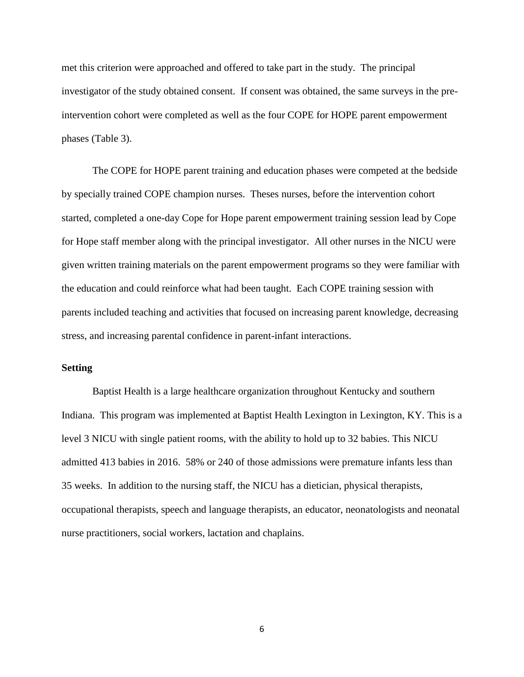met this criterion were approached and offered to take part in the study. The principal investigator of the study obtained consent. If consent was obtained, the same surveys in the preintervention cohort were completed as well as the four COPE for HOPE parent empowerment phases (Table 3).

The COPE for HOPE parent training and education phases were competed at the bedside by specially trained COPE champion nurses. Theses nurses, before the intervention cohort started, completed a one-day Cope for Hope parent empowerment training session lead by Cope for Hope staff member along with the principal investigator. All other nurses in the NICU were given written training materials on the parent empowerment programs so they were familiar with the education and could reinforce what had been taught. Each COPE training session with parents included teaching and activities that focused on increasing parent knowledge, decreasing stress, and increasing parental confidence in parent-infant interactions.

#### **Setting**

Baptist Health is a large healthcare organization throughout Kentucky and southern Indiana. This program was implemented at Baptist Health Lexington in Lexington, KY. This is a level 3 NICU with single patient rooms, with the ability to hold up to 32 babies. This NICU admitted 413 babies in 2016. 58% or 240 of those admissions were premature infants less than 35 weeks. In addition to the nursing staff, the NICU has a dietician, physical therapists, occupational therapists, speech and language therapists, an educator, neonatologists and neonatal nurse practitioners, social workers, lactation and chaplains.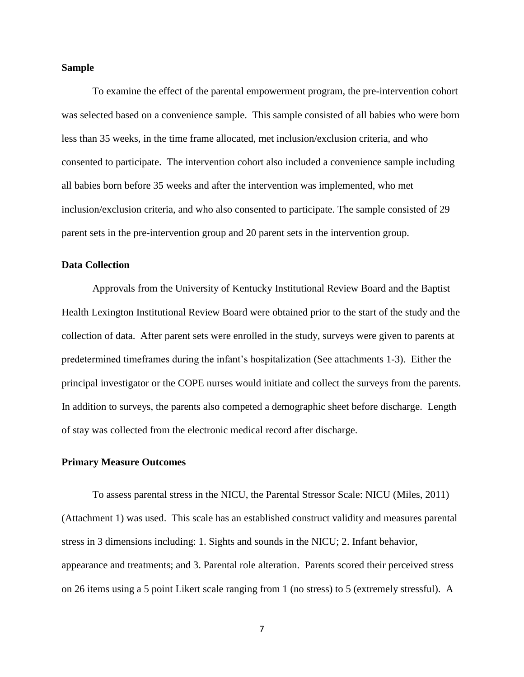#### **Sample**

To examine the effect of the parental empowerment program, the pre-intervention cohort was selected based on a convenience sample. This sample consisted of all babies who were born less than 35 weeks, in the time frame allocated, met inclusion/exclusion criteria, and who consented to participate. The intervention cohort also included a convenience sample including all babies born before 35 weeks and after the intervention was implemented, who met inclusion/exclusion criteria, and who also consented to participate. The sample consisted of 29 parent sets in the pre-intervention group and 20 parent sets in the intervention group.

#### **Data Collection**

Approvals from the University of Kentucky Institutional Review Board and the Baptist Health Lexington Institutional Review Board were obtained prior to the start of the study and the collection of data. After parent sets were enrolled in the study, surveys were given to parents at predetermined timeframes during the infant's hospitalization (See attachments 1-3). Either the principal investigator or the COPE nurses would initiate and collect the surveys from the parents. In addition to surveys, the parents also competed a demographic sheet before discharge. Length of stay was collected from the electronic medical record after discharge.

#### **Primary Measure Outcomes**

To assess parental stress in the NICU, the Parental Stressor Scale: NICU (Miles, 2011) (Attachment 1) was used. This scale has an established construct validity and measures parental stress in 3 dimensions including: 1. Sights and sounds in the NICU; 2. Infant behavior, appearance and treatments; and 3. Parental role alteration. Parents scored their perceived stress on 26 items using a 5 point Likert scale ranging from 1 (no stress) to 5 (extremely stressful). A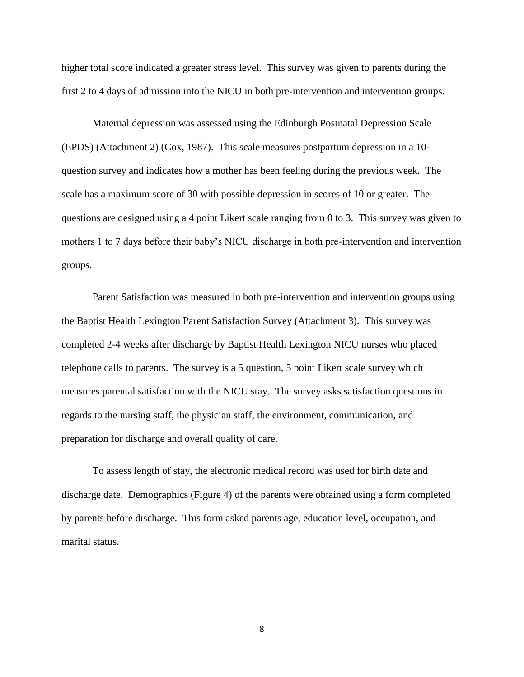higher total score indicated a greater stress level. This survey was given to parents during the first 2 to 4 days of admission into the NICU in both pre-intervention and intervention groups.

Maternal depression was assessed using the Edinburgh Postnatal Depression Scale (EPDS) (Attachment 2) (Cox, 1987). This scale measures postpartum depression in a 10 question survey and indicates how a mother has been feeling during the previous week. The scale has a maximum score of 30 with possible depression in scores of 10 or greater. The questions are designed using a 4 point Likert scale ranging from 0 to 3. This survey was given to mothers 1 to 7 days before their baby's NICU discharge in both pre-intervention and intervention groups.

Parent Satisfaction was measured in both pre-intervention and intervention groups using the Baptist Health Lexington Parent Satisfaction Survey (Attachment 3). This survey was completed 2-4 weeks after discharge by Baptist Health Lexington NICU nurses who placed telephone calls to parents. The survey is a 5 question, 5 point Likert scale survey which measures parental satisfaction with the NICU stay. The survey asks satisfaction questions in regards to the nursing staff, the physician staff, the environment, communication, and preparation for discharge and overall quality of care.

To assess length of stay, the electronic medical record was used for birth date and discharge date. Demographics (Figure 4) of the parents were obtained using a form completed by parents before discharge. This form asked parents age, education level, occupation, and marital status.

8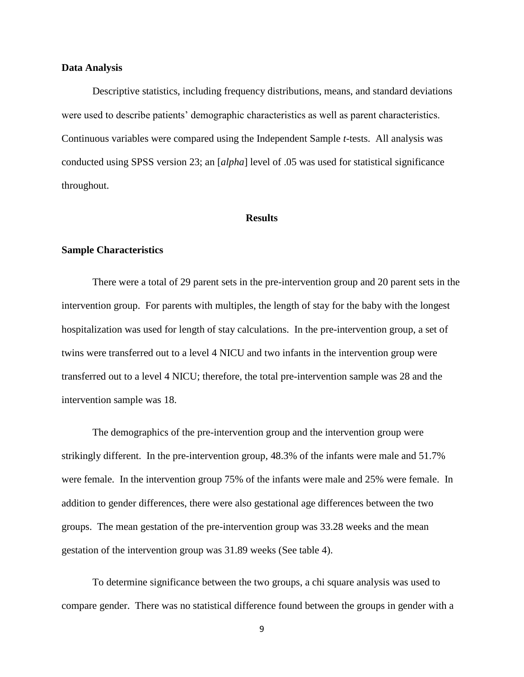#### **Data Analysis**

Descriptive statistics, including frequency distributions, means, and standard deviations were used to describe patients' demographic characteristics as well as parent characteristics. Continuous variables were compared using the Independent Sample *t*-tests. All analysis was conducted using SPSS version 23; an [*alpha*] level of .05 was used for statistical significance throughout.

#### **Results**

#### **Sample Characteristics**

There were a total of 29 parent sets in the pre-intervention group and 20 parent sets in the intervention group. For parents with multiples, the length of stay for the baby with the longest hospitalization was used for length of stay calculations. In the pre-intervention group, a set of twins were transferred out to a level 4 NICU and two infants in the intervention group were transferred out to a level 4 NICU; therefore, the total pre-intervention sample was 28 and the intervention sample was 18.

The demographics of the pre-intervention group and the intervention group were strikingly different. In the pre-intervention group, 48.3% of the infants were male and 51.7% were female. In the intervention group 75% of the infants were male and 25% were female. In addition to gender differences, there were also gestational age differences between the two groups. The mean gestation of the pre-intervention group was 33.28 weeks and the mean gestation of the intervention group was 31.89 weeks (See table 4).

To determine significance between the two groups, a chi square analysis was used to compare gender. There was no statistical difference found between the groups in gender with a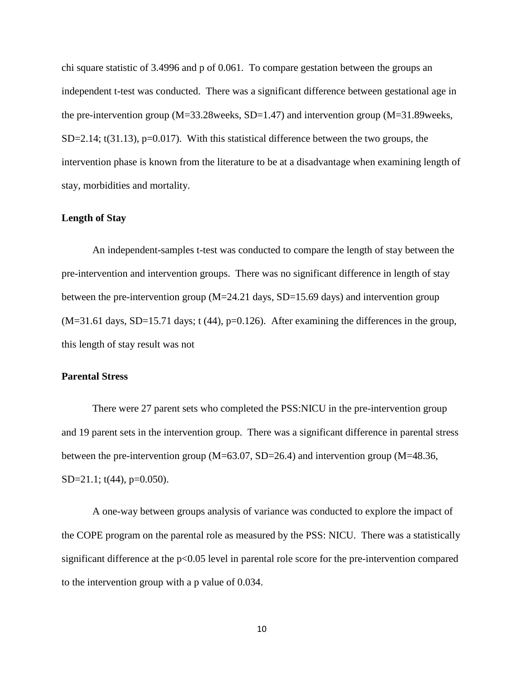chi square statistic of 3.4996 and p of 0.061. To compare gestation between the groups an independent t-test was conducted. There was a significant difference between gestational age in the pre-intervention group  $(M=33.28$  weeks,  $SD=1.47$  and intervention group  $(M=31.89$  weeks,  $SD=2.14$ ; t(31.13), p=0.017). With this statistical difference between the two groups, the intervention phase is known from the literature to be at a disadvantage when examining length of stay, morbidities and mortality.

#### **Length of Stay**

An independent-samples t-test was conducted to compare the length of stay between the pre-intervention and intervention groups. There was no significant difference in length of stay between the pre-intervention group  $(M=24.21$  days,  $SD=15.69$  days) and intervention group  $(M=31.61$  days, SD=15.71 days; t (44), p=0.126). After examining the differences in the group, this length of stay result was not

#### **Parental Stress**

There were 27 parent sets who completed the PSS:NICU in the pre-intervention group and 19 parent sets in the intervention group. There was a significant difference in parental stress between the pre-intervention group (M=63.07, SD=26.4) and intervention group (M=48.36, SD=21.1; t(44), p=0.050).

A one-way between groups analysis of variance was conducted to explore the impact of the COPE program on the parental role as measured by the PSS: NICU. There was a statistically significant difference at the p<0.05 level in parental role score for the pre-intervention compared to the intervention group with a p value of 0.034.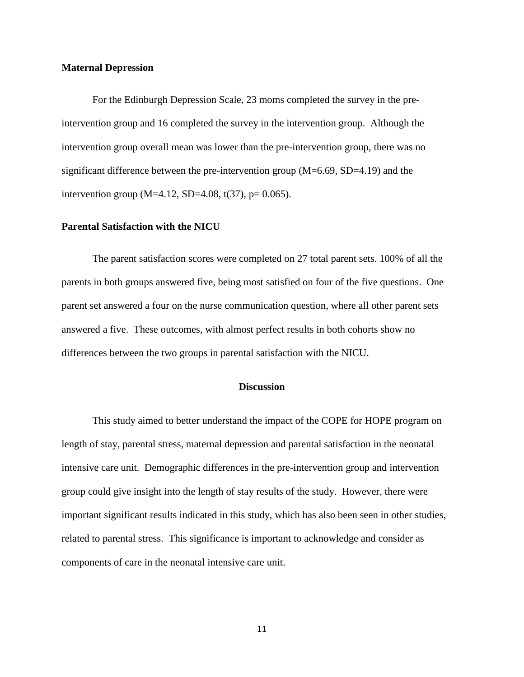### **Maternal Depression**

For the Edinburgh Depression Scale, 23 moms completed the survey in the preintervention group and 16 completed the survey in the intervention group. Although the intervention group overall mean was lower than the pre-intervention group, there was no significant difference between the pre-intervention group (M=6.69, SD=4.19) and the intervention group (M=4.12, SD=4.08, t(37), p= 0.065).

#### **Parental Satisfaction with the NICU**

The parent satisfaction scores were completed on 27 total parent sets. 100% of all the parents in both groups answered five, being most satisfied on four of the five questions. One parent set answered a four on the nurse communication question, where all other parent sets answered a five. These outcomes, with almost perfect results in both cohorts show no differences between the two groups in parental satisfaction with the NICU.

### **Discussion**

This study aimed to better understand the impact of the COPE for HOPE program on length of stay, parental stress, maternal depression and parental satisfaction in the neonatal intensive care unit. Demographic differences in the pre-intervention group and intervention group could give insight into the length of stay results of the study. However, there were important significant results indicated in this study, which has also been seen in other studies, related to parental stress. This significance is important to acknowledge and consider as components of care in the neonatal intensive care unit.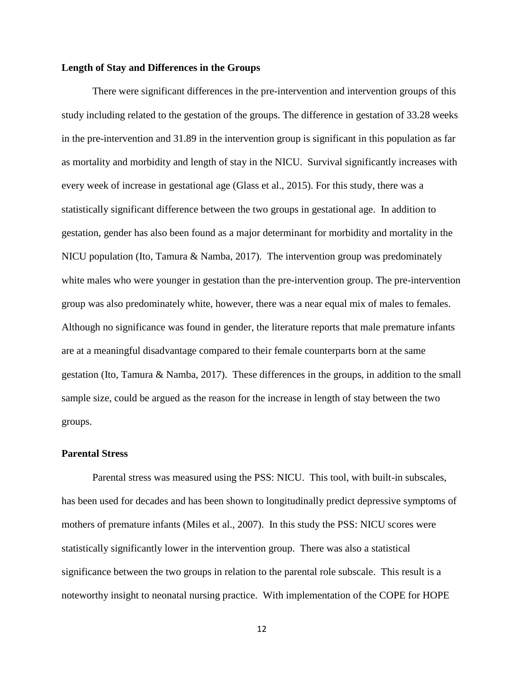#### **Length of Stay and Differences in the Groups**

There were significant differences in the pre-intervention and intervention groups of this study including related to the gestation of the groups. The difference in gestation of 33.28 weeks in the pre-intervention and 31.89 in the intervention group is significant in this population as far as mortality and morbidity and length of stay in the NICU. Survival significantly increases with every week of increase in gestational age (Glass et al., 2015). For this study, there was a statistically significant difference between the two groups in gestational age. In addition to gestation, gender has also been found as a major determinant for morbidity and mortality in the NICU population (Ito, Tamura & Namba, 2017). The intervention group was predominately white males who were younger in gestation than the pre-intervention group. The pre-intervention group was also predominately white, however, there was a near equal mix of males to females. Although no significance was found in gender, the literature reports that male premature infants are at a meaningful disadvantage compared to their female counterparts born at the same gestation (Ito, Tamura & Namba, 2017). These differences in the groups, in addition to the small sample size, could be argued as the reason for the increase in length of stay between the two groups.

#### **Parental Stress**

Parental stress was measured using the PSS: NICU. This tool, with built-in subscales, has been used for decades and has been shown to longitudinally predict depressive symptoms of mothers of premature infants (Miles et al., 2007). In this study the PSS: NICU scores were statistically significantly lower in the intervention group. There was also a statistical significance between the two groups in relation to the parental role subscale. This result is a noteworthy insight to neonatal nursing practice. With implementation of the COPE for HOPE

12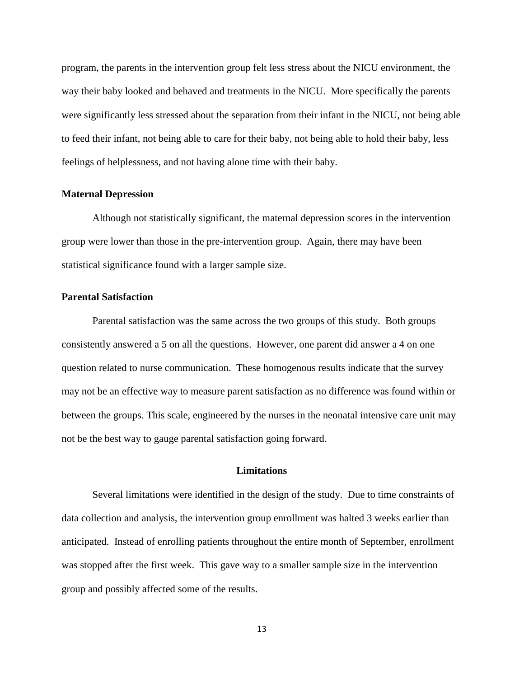program, the parents in the intervention group felt less stress about the NICU environment, the way their baby looked and behaved and treatments in the NICU. More specifically the parents were significantly less stressed about the separation from their infant in the NICU, not being able to feed their infant, not being able to care for their baby, not being able to hold their baby, less feelings of helplessness, and not having alone time with their baby.

#### **Maternal Depression**

Although not statistically significant, the maternal depression scores in the intervention group were lower than those in the pre-intervention group. Again, there may have been statistical significance found with a larger sample size.

### **Parental Satisfaction**

Parental satisfaction was the same across the two groups of this study. Both groups consistently answered a 5 on all the questions. However, one parent did answer a 4 on one question related to nurse communication. These homogenous results indicate that the survey may not be an effective way to measure parent satisfaction as no difference was found within or between the groups. This scale, engineered by the nurses in the neonatal intensive care unit may not be the best way to gauge parental satisfaction going forward.

#### **Limitations**

Several limitations were identified in the design of the study. Due to time constraints of data collection and analysis, the intervention group enrollment was halted 3 weeks earlier than anticipated. Instead of enrolling patients throughout the entire month of September, enrollment was stopped after the first week. This gave way to a smaller sample size in the intervention group and possibly affected some of the results.

13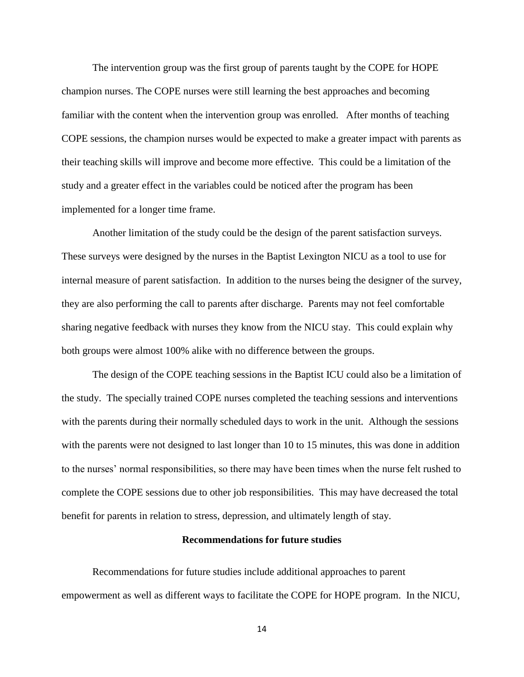The intervention group was the first group of parents taught by the COPE for HOPE champion nurses. The COPE nurses were still learning the best approaches and becoming familiar with the content when the intervention group was enrolled. After months of teaching COPE sessions, the champion nurses would be expected to make a greater impact with parents as their teaching skills will improve and become more effective. This could be a limitation of the study and a greater effect in the variables could be noticed after the program has been implemented for a longer time frame.

Another limitation of the study could be the design of the parent satisfaction surveys. These surveys were designed by the nurses in the Baptist Lexington NICU as a tool to use for internal measure of parent satisfaction. In addition to the nurses being the designer of the survey, they are also performing the call to parents after discharge. Parents may not feel comfortable sharing negative feedback with nurses they know from the NICU stay. This could explain why both groups were almost 100% alike with no difference between the groups.

The design of the COPE teaching sessions in the Baptist ICU could also be a limitation of the study. The specially trained COPE nurses completed the teaching sessions and interventions with the parents during their normally scheduled days to work in the unit. Although the sessions with the parents were not designed to last longer than 10 to 15 minutes, this was done in addition to the nurses' normal responsibilities, so there may have been times when the nurse felt rushed to complete the COPE sessions due to other job responsibilities. This may have decreased the total benefit for parents in relation to stress, depression, and ultimately length of stay.

#### **Recommendations for future studies**

Recommendations for future studies include additional approaches to parent empowerment as well as different ways to facilitate the COPE for HOPE program. In the NICU,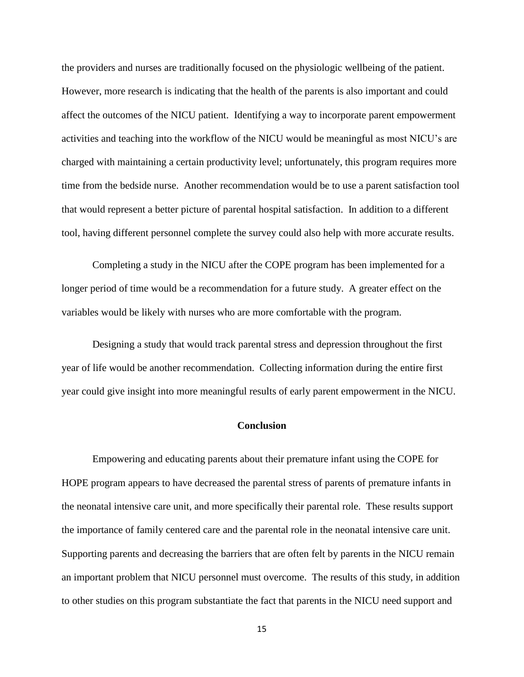the providers and nurses are traditionally focused on the physiologic wellbeing of the patient. However, more research is indicating that the health of the parents is also important and could affect the outcomes of the NICU patient. Identifying a way to incorporate parent empowerment activities and teaching into the workflow of the NICU would be meaningful as most NICU's are charged with maintaining a certain productivity level; unfortunately, this program requires more time from the bedside nurse. Another recommendation would be to use a parent satisfaction tool that would represent a better picture of parental hospital satisfaction. In addition to a different tool, having different personnel complete the survey could also help with more accurate results.

Completing a study in the NICU after the COPE program has been implemented for a longer period of time would be a recommendation for a future study. A greater effect on the variables would be likely with nurses who are more comfortable with the program.

Designing a study that would track parental stress and depression throughout the first year of life would be another recommendation. Collecting information during the entire first year could give insight into more meaningful results of early parent empowerment in the NICU.

#### **Conclusion**

Empowering and educating parents about their premature infant using the COPE for HOPE program appears to have decreased the parental stress of parents of premature infants in the neonatal intensive care unit, and more specifically their parental role. These results support the importance of family centered care and the parental role in the neonatal intensive care unit. Supporting parents and decreasing the barriers that are often felt by parents in the NICU remain an important problem that NICU personnel must overcome. The results of this study, in addition to other studies on this program substantiate the fact that parents in the NICU need support and

15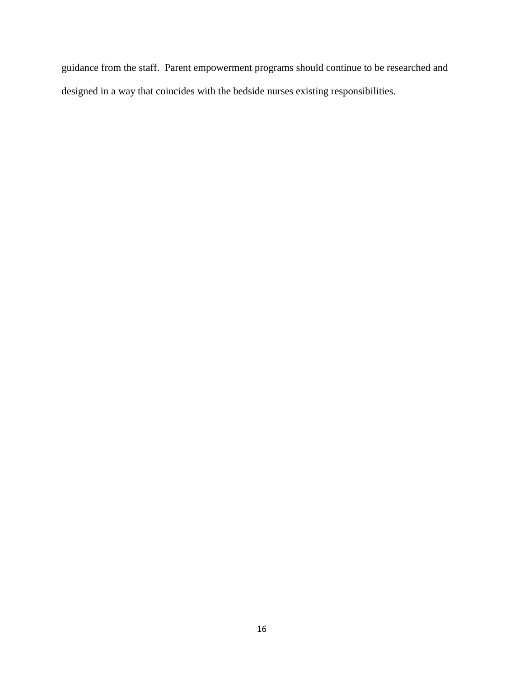guidance from the staff. Parent empowerment programs should continue to be researched and designed in a way that coincides with the bedside nurses existing responsibilities.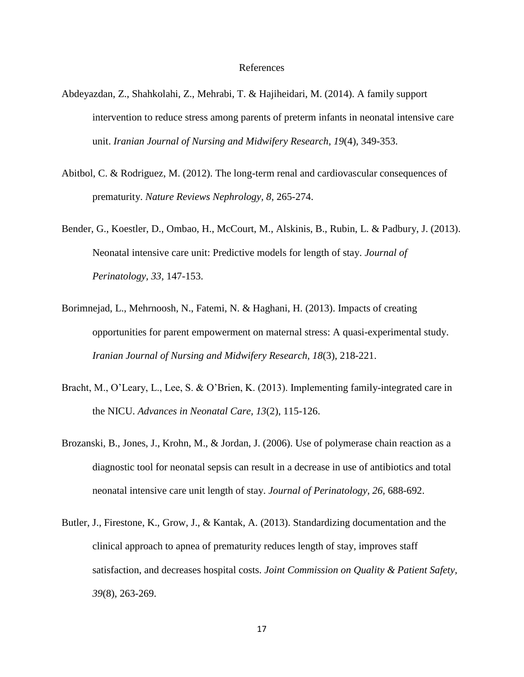#### References

- Abdeyazdan, Z., Shahkolahi, Z., Mehrabi, T. & Hajiheidari, M. (2014). A family support intervention to reduce stress among parents of preterm infants in neonatal intensive care unit. *Iranian Journal of Nursing and Midwifery Research, 19*(4), 349-353.
- Abitbol, C. & Rodriguez, M. (2012). The long-term renal and cardiovascular consequences of prematurity. *Nature Reviews Nephrology, 8,* 265-274.
- Bender, G., Koestler, D., Ombao, H., McCourt, M., Alskinis, B., Rubin, L. & Padbury, J. (2013). Neonatal intensive care unit: Predictive models for length of stay. *Journal of Perinatology, 33,* 147-153.
- Borimnejad, L., Mehrnoosh, N., Fatemi, N. & Haghani, H. (2013). Impacts of creating opportunities for parent empowerment on maternal stress: A quasi-experimental study. *Iranian Journal of Nursing and Midwifery Research, 18*(3), 218-221.
- Bracht, M., O'Leary, L., Lee, S. & O'Brien, K. (2013). Implementing family-integrated care in the NICU. *Advances in Neonatal Care, 13*(2), 115-126.
- Brozanski, B., Jones, J., Krohn, M., & Jordan, J. (2006). Use of polymerase chain reaction as a diagnostic tool for neonatal sepsis can result in a decrease in use of antibiotics and total neonatal intensive care unit length of stay. *Journal of Perinatology, 26,* 688-692.
- Butler, J., Firestone, K., Grow, J., & Kantak, A. (2013). Standardizing documentation and the clinical approach to apnea of prematurity reduces length of stay, improves staff satisfaction, and decreases hospital costs. *Joint Commission on Quality & Patient Safety, 39*(8), 263-269.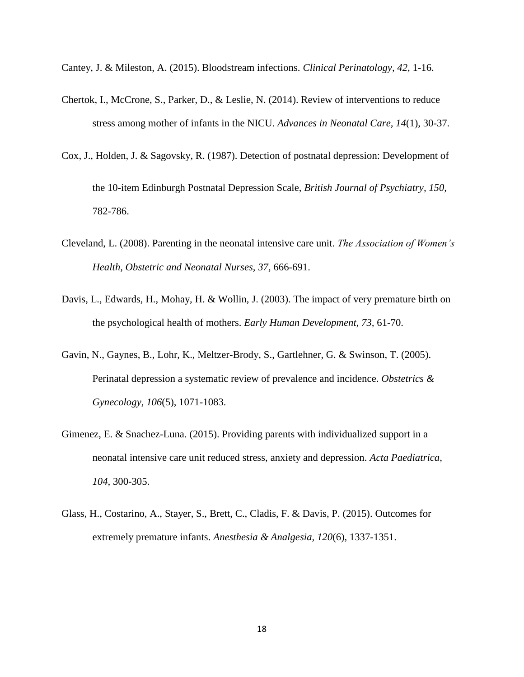Cantey, J. & Mileston, A. (2015). Bloodstream infections. *Clinical Perinatology, 42,* 1-16.

- Chertok, I., McCrone, S., Parker, D., & Leslie, N. (2014). Review of interventions to reduce stress among mother of infants in the NICU. *Advances in Neonatal Care, 14*(1), 30-37.
- Cox, J., Holden, J. & Sagovsky, R. (1987). Detection of postnatal depression: Development of the 10-item Edinburgh Postnatal Depression Scale, *British Journal of Psychiatry, 150,* 782-786.
- Cleveland, L. (2008). Parenting in the neonatal intensive care unit. *The Association of Women's Health, Obstetric and Neonatal Nurses, 37,* 666-691.
- Davis, L., Edwards, H., Mohay, H. & Wollin, J. (2003). The impact of very premature birth on the psychological health of mothers. *Early Human Development, 73,* 61-70.
- Gavin, N., Gaynes, B., Lohr, K., Meltzer-Brody, S., Gartlehner, G. & Swinson, T. (2005). Perinatal depression a systematic review of prevalence and incidence. *Obstetrics & Gynecology, 106*(5), 1071-1083.
- Gimenez, E. & Snachez-Luna. (2015). Providing parents with individualized support in a neonatal intensive care unit reduced stress, anxiety and depression. *Acta Paediatrica, 104,* 300-305.
- Glass, H., Costarino, A., Stayer, S., Brett, C., Cladis, F. & Davis, P. (2015). Outcomes for extremely premature infants. *Anesthesia & Analgesia, 120*(6), 1337-1351.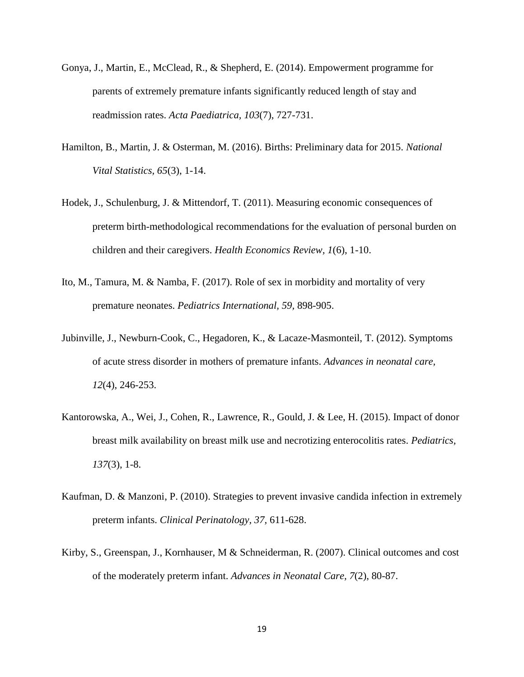- Gonya, J., Martin, E., McClead, R., & Shepherd, E. (2014). Empowerment programme for parents of extremely premature infants significantly reduced length of stay and readmission rates. *Acta Paediatrica, 103*(7), 727-731.
- Hamilton, B., Martin, J. & Osterman, M. (2016). Births: Preliminary data for 2015. *National Vital Statistics, 65*(3), 1-14.
- Hodek, J., Schulenburg, J. & Mittendorf, T. (2011). Measuring economic consequences of preterm birth-methodological recommendations for the evaluation of personal burden on children and their caregivers. *Health Economics Review, 1*(6), 1-10.
- Ito, M., Tamura, M. & Namba, F. (2017). Role of sex in morbidity and mortality of very premature neonates. *Pediatrics International, 59,* 898-905.
- Jubinville, J., Newburn-Cook, C., Hegadoren, K., & Lacaze-Masmonteil, T. (2012). Symptoms of acute stress disorder in mothers of premature infants. *Advances in neonatal care, 12*(4), 246-253.
- Kantorowska, A., Wei, J., Cohen, R., Lawrence, R., Gould, J. & Lee, H. (2015). Impact of donor breast milk availability on breast milk use and necrotizing enterocolitis rates. *Pediatrics, 137*(3), 1-8.
- Kaufman, D. & Manzoni, P. (2010). Strategies to prevent invasive candida infection in extremely preterm infants. *Clinical Perinatology, 37,* 611-628.
- Kirby, S., Greenspan, J., Kornhauser, M & Schneiderman, R. (2007). Clinical outcomes and cost of the moderately preterm infant. *Advances in Neonatal Care, 7*(2), 80-87.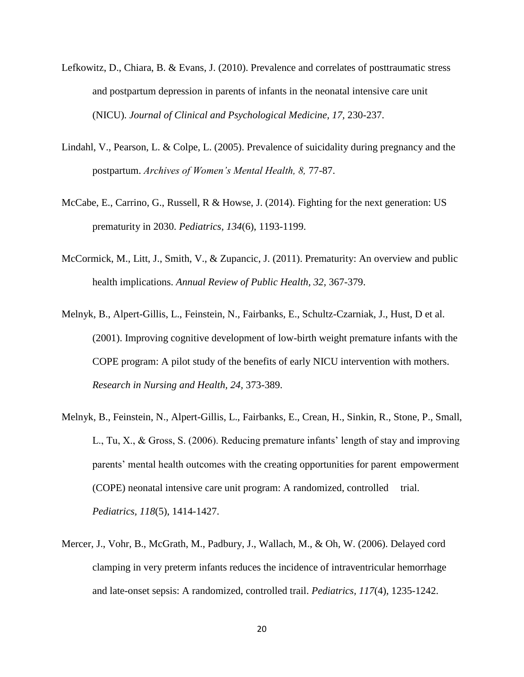- Lefkowitz, D., Chiara, B. & Evans, J. (2010). Prevalence and correlates of posttraumatic stress and postpartum depression in parents of infants in the neonatal intensive care unit (NICU). *Journal of Clinical and Psychological Medicine, 17,* 230-237.
- Lindahl, V., Pearson, L. & Colpe, L. (2005). Prevalence of suicidality during pregnancy and the postpartum. *Archives of Women's Mental Health, 8,* 77-87.
- McCabe, E., Carrino, G., Russell, R & Howse, J. (2014). Fighting for the next generation: US prematurity in 2030. *Pediatrics, 134*(6), 1193-1199.
- McCormick, M., Litt, J., Smith, V., & Zupancic, J. (2011). Prematurity: An overview and public health implications. *Annual Review of Public Health, 32,* 367-379.
- Melnyk, B., Alpert-Gillis, L., Feinstein, N., Fairbanks, E., Schultz-Czarniak, J., Hust, D et al. (2001). Improving cognitive development of low-birth weight premature infants with the COPE program: A pilot study of the benefits of early NICU intervention with mothers. *Research in Nursing and Health, 24,* 373-389.
- Melnyk, B., Feinstein, N., Alpert-Gillis, L., Fairbanks, E., Crean, H., Sinkin, R., Stone, P., Small, L., Tu, X., & Gross, S. (2006). Reducing premature infants' length of stay and improving parents' mental health outcomes with the creating opportunities for parent empowerment (COPE) neonatal intensive care unit program: A randomized, controlled trial. *Pediatrics, 118*(5), 1414-1427.
- Mercer, J., Vohr, B., McGrath, M., Padbury, J., Wallach, M., & Oh, W. (2006). Delayed cord clamping in very preterm infants reduces the incidence of intraventricular hemorrhage and late-onset sepsis: A randomized, controlled trail. *Pediatrics, 117*(4), 1235-1242.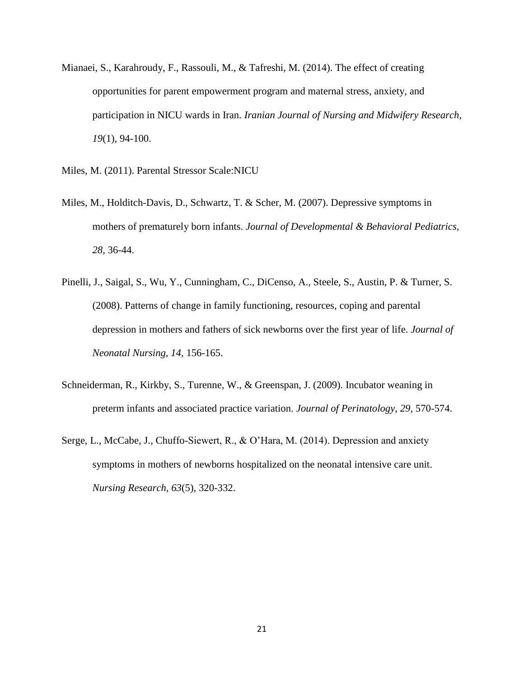- Mianaei, S., Karahroudy, F., Rassouli, M., & Tafreshi, M. (2014). The effect of creating opportunities for parent empowerment program and maternal stress, anxiety, and participation in NICU wards in Iran. *Iranian Journal of Nursing and Midwifery Research, 19*(1), 94-100.
- Miles, M. (2011). Parental Stressor Scale:NICU
- Miles, M., Holditch-Davis, D., Schwartz, T. & Scher, M. (2007). Depressive symptoms in mothers of prematurely born infants. *Journal of Developmental & Behavioral Pediatrics, 28,* 36-44.
- Pinelli, J., Saigal, S., Wu, Y., Cunningham, C., DiCenso, A., Steele, S., Austin, P. & Turner, S. (2008). Patterns of change in family functioning, resources, coping and parental depression in mothers and fathers of sick newborns over the first year of life. *Journal of Neonatal Nursing, 14,* 156-165.
- Schneiderman, R., Kirkby, S., Turenne, W., & Greenspan, J. (2009). Incubator weaning in preterm infants and associated practice variation. *Journal of Perinatology, 29,* 570-574.
- Serge, L., McCabe, J., Chuffo-Siewert, R., & O'Hara, M. (2014). Depression and anxiety symptoms in mothers of newborns hospitalized on the neonatal intensive care unit. *Nursing Research, 63*(5), 320-332.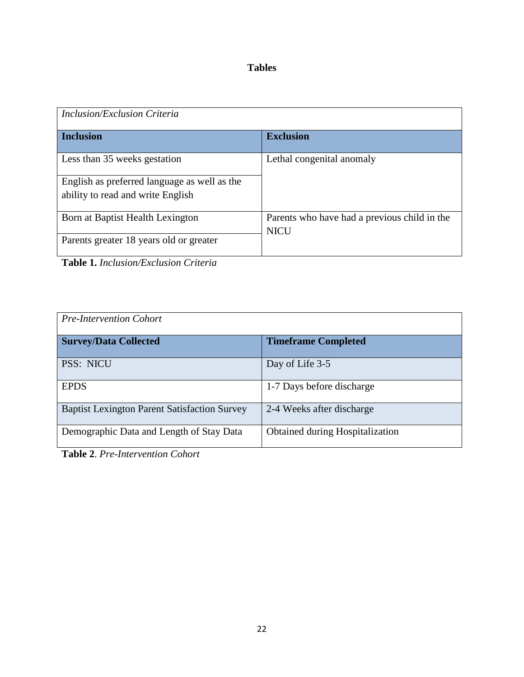# **Tables**

| Inclusion/Exclusion Criteria                 |                                              |
|----------------------------------------------|----------------------------------------------|
| <b>Inclusion</b>                             | <b>Exclusion</b>                             |
| Less than 35 weeks gestation                 | Lethal congenital anomaly                    |
| English as preferred language as well as the |                                              |
| ability to read and write English            |                                              |
| Born at Baptist Health Lexington             | Parents who have had a previous child in the |
| Parents greater 18 years old or greater      | <b>NICU</b>                                  |

**Table 1.** *Inclusion/Exclusion Criteria*

| <b>Pre-Intervention Cohort</b>                      |                                 |  |  |  |  |
|-----------------------------------------------------|---------------------------------|--|--|--|--|
| <b>Survey/Data Collected</b>                        | <b>Timeframe Completed</b>      |  |  |  |  |
| <b>PSS: NICU</b>                                    | Day of Life 3-5                 |  |  |  |  |
| <b>EPDS</b>                                         | 1-7 Days before discharge       |  |  |  |  |
| <b>Baptist Lexington Parent Satisfaction Survey</b> | 2-4 Weeks after discharge       |  |  |  |  |
| Demographic Data and Length of Stay Data            | Obtained during Hospitalization |  |  |  |  |

**Table 2**. *Pre-Intervention Cohort*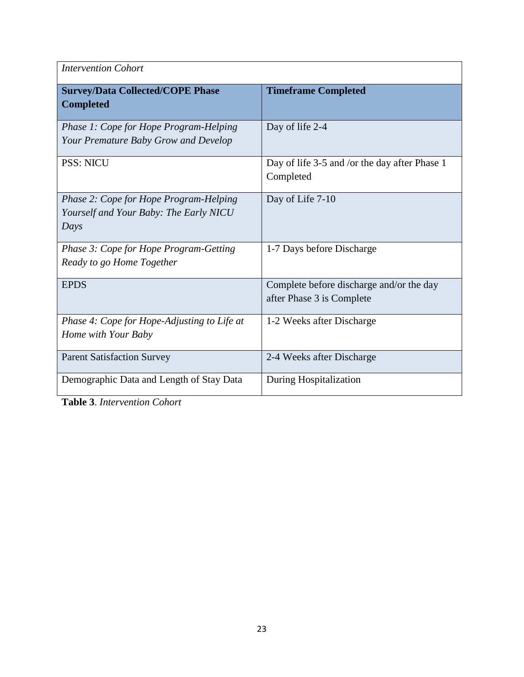| <b>Intervention Cohort</b>                                                               |                                                                       |  |  |  |  |
|------------------------------------------------------------------------------------------|-----------------------------------------------------------------------|--|--|--|--|
| <b>Survey/Data Collected/COPE Phase</b><br><b>Completed</b>                              | <b>Timeframe Completed</b>                                            |  |  |  |  |
| Phase 1: Cope for Hope Program-Helping<br>Your Premature Baby Grow and Develop           | Day of life 2-4                                                       |  |  |  |  |
| <b>PSS: NICU</b>                                                                         | Day of life 3-5 and /or the day after Phase 1<br>Completed            |  |  |  |  |
| Phase 2: Cope for Hope Program-Helping<br>Yourself and Your Baby: The Early NICU<br>Days | Day of Life 7-10                                                      |  |  |  |  |
| Phase 3: Cope for Hope Program-Getting<br>Ready to go Home Together                      | 1-7 Days before Discharge                                             |  |  |  |  |
| <b>EPDS</b>                                                                              | Complete before discharge and/or the day<br>after Phase 3 is Complete |  |  |  |  |
| Phase 4: Cope for Hope-Adjusting to Life at<br>Home with Your Baby                       | 1-2 Weeks after Discharge                                             |  |  |  |  |
| <b>Parent Satisfaction Survey</b>                                                        | 2-4 Weeks after Discharge                                             |  |  |  |  |
| Demographic Data and Length of Stay Data                                                 | During Hospitalization                                                |  |  |  |  |

**Table 3**. *Intervention Cohort*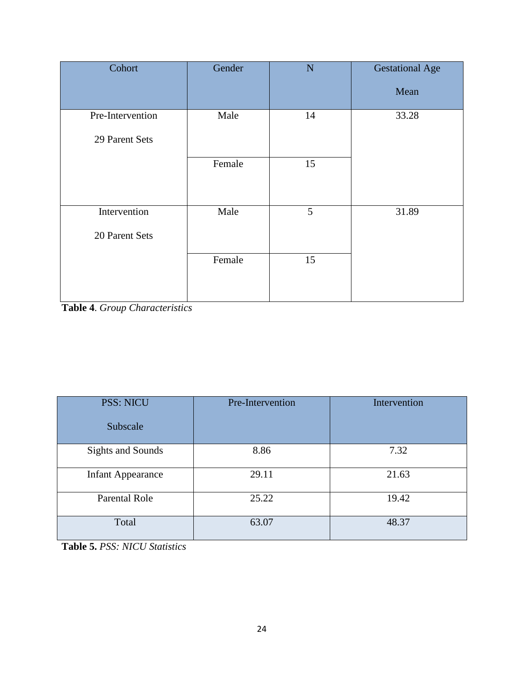| Cohort           | Gender | $\mathbf N$ | <b>Gestational Age</b> |
|------------------|--------|-------------|------------------------|
|                  |        |             | Mean                   |
| Pre-Intervention | Male   | 14          | 33.28                  |
| 29 Parent Sets   |        |             |                        |
|                  | Female | 15          |                        |
|                  |        |             |                        |
| Intervention     | Male   | 5           | 31.89                  |
| 20 Parent Sets   |        |             |                        |
|                  | Female | 15          |                        |
|                  |        |             |                        |

**Table 4**. *Group Characteristics*

| <b>PSS: NICU</b><br>Subscale | Pre-Intervention | Intervention |
|------------------------------|------------------|--------------|
|                              |                  |              |
| <b>Sights and Sounds</b>     | 8.86             | 7.32         |
| <b>Infant Appearance</b>     | 29.11            | 21.63        |
| Parental Role                | 25.22            | 19.42        |
| Total                        | 63.07            | 48.37        |

**Table 5.** *PSS: NICU Statistics*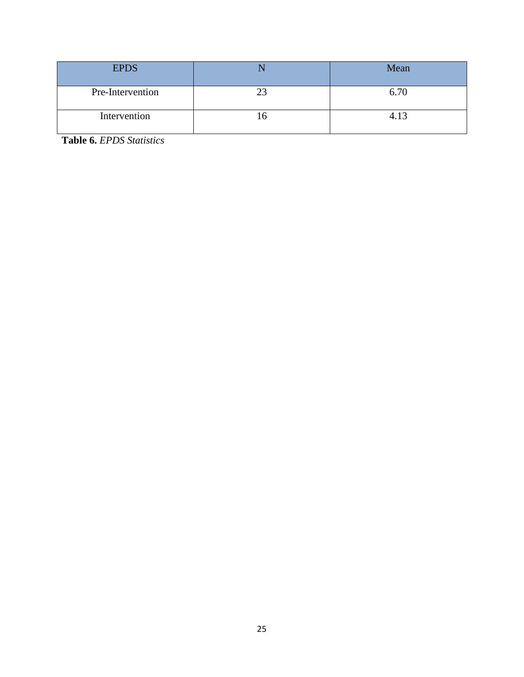| <b>EPDS</b>      | Mean |
|------------------|------|
| Pre-Intervention | 6.70 |
| Intervention     | 4.13 |

**Table 6.** *EPDS Statistics*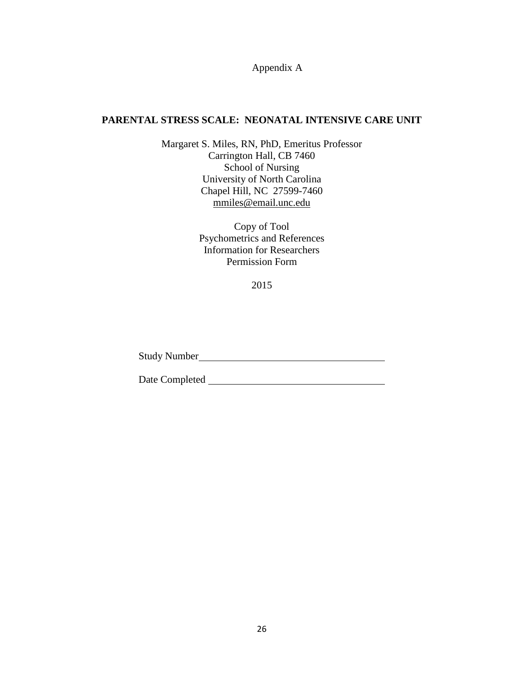Appendix A

## **PARENTAL STRESS SCALE: NEONATAL INTENSIVE CARE UNIT**

Margaret S. Miles, RN, PhD, Emeritus Professor Carrington Hall, CB 7460 School of Nursing University of North Carolina Chapel Hill, NC 27599-7460 [mmiles@email.unc.edu](mailto:mmiles@email.unc.edu)

> Copy of Tool Psychometrics and References Information for Researchers Permission Form

> > 2015

Study Number

Date Completed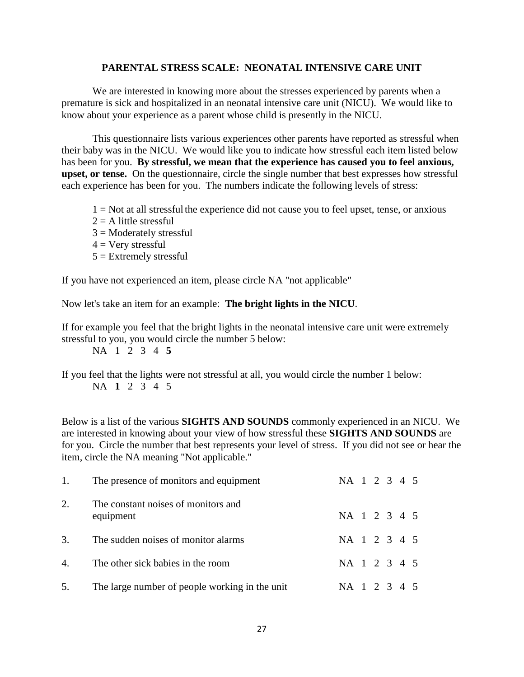#### **PARENTAL STRESS SCALE: NEONATAL INTENSIVE CARE UNIT**

We are interested in knowing more about the stresses experienced by parents when a premature is sick and hospitalized in an neonatal intensive care unit (NICU). We would like to know about your experience as a parent whose child is presently in the NICU.

This questionnaire lists various experiences other parents have reported as stressful when their baby was in the NICU. We would like you to indicate how stressful each item listed below has been for you. **By stressful, we mean that the experience has caused you to feel anxious, upset, or tense.** On the questionnaire, circle the single number that best expresses how stressful each experience has been for you. The numbers indicate the following levels of stress:

- $1 = Not$  at all stressful the experience did not cause you to feel upset, tense, or anxious
- $2 = A$  little stressful
- $3 =$ Moderately stressful
- $4 =$  Very stressful
- $5 =$ Extremely stressful

If you have not experienced an item, please circle NA "not applicable"

Now let's take an item for an example: **The bright lights in the NICU**.

If for example you feel that the bright lights in the neonatal intensive care unit were extremely stressful to you, you would circle the number 5 below:

NA 1 2 3 4 **5**

If you feel that the lights were not stressful at all, you would circle the number 1 below: NA **1** 2 3 4 5

Below is a list of the various **SIGHTS AND SOUNDS** commonly experienced in an NICU. We are interested in knowing about your view of how stressful these **SIGHTS AND SOUNDS** are for you. Circle the number that best represents your level of stress. If you did not see or hear the item, circle the NA meaning "Not applicable."

| 1.             | The presence of monitors and equipment           | NA 1 2 3 4 5 |  |  |  |
|----------------|--------------------------------------------------|--------------|--|--|--|
| 2.             | The constant noises of monitors and<br>equipment | NA 1 2 3 4 5 |  |  |  |
| 3.             | The sudden noises of monitor alarms              | NA 1 2 3 4 5 |  |  |  |
| $\mathbf{4}$ . | The other sick babies in the room                | NA 1 2 3 4 5 |  |  |  |
| 5.             | The large number of people working in the unit   | NA 1 2 3 4 5 |  |  |  |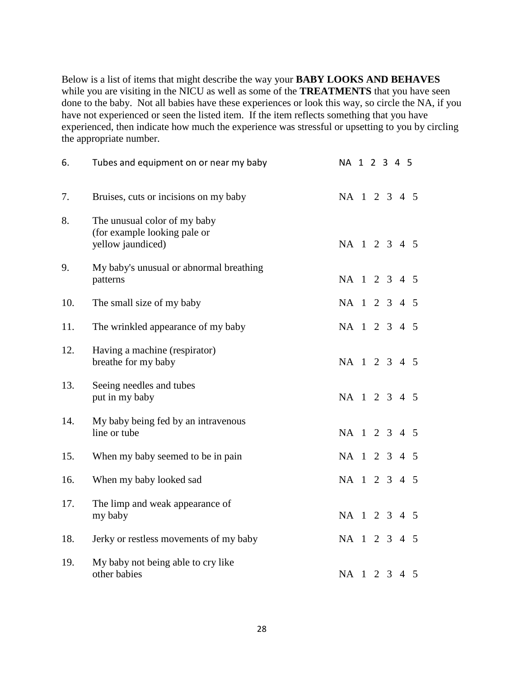Below is a list of items that might describe the way your **BABY LOOKS AND BEHAVES**  while you are visiting in the NICU as well as some of the **TREATMENTS** that you have seen done to the baby. Not all babies have these experiences or look this way, so circle the NA, if you have not experienced or seen the listed item. If the item reflects something that you have experienced, then indicate how much the experience was stressful or upsetting to you by circling the appropriate number.

| 6.  | Tubes and equipment on or near my baby                                            | NA 1 2 3 4 5 |  |  |                |
|-----|-----------------------------------------------------------------------------------|--------------|--|--|----------------|
| 7.  | Bruises, cuts or incisions on my baby                                             | NA 1 2 3 4 5 |  |  |                |
| 8.  | The unusual color of my baby<br>(for example looking pale or<br>yellow jaundiced) | NA 1 2 3 4 5 |  |  |                |
| 9.  | My baby's unusual or abnormal breathing<br>patterns                               | NA 1 2 3 4 5 |  |  |                |
| 10. | The small size of my baby                                                         | NA 1 2 3 4 5 |  |  |                |
| 11. | The wrinkled appearance of my baby                                                | NA 1 2 3 4 5 |  |  |                |
| 12. | Having a machine (respirator)<br>breathe for my baby                              | NA 1 2 3 4 5 |  |  |                |
| 13. | Seeing needles and tubes<br>put in my baby                                        | NA 1 2 3 4 5 |  |  |                |
| 14. | My baby being fed by an intravenous<br>line or tube                               | NA 1 2 3 4 5 |  |  |                |
| 15. | When my baby seemed to be in pain                                                 | NA 1 2 3 4 5 |  |  |                |
| 16. | When my baby looked sad                                                           | NA 1 2 3 4   |  |  | $\overline{5}$ |
| 17. | The limp and weak appearance of<br>my baby                                        | NA 1 2 3 4 5 |  |  |                |
| 18. | Jerky or restless movements of my baby                                            | NA 1 2 3 4 5 |  |  |                |
| 19. | My baby not being able to cry like<br>other babies                                | NA 1 2 3 4 5 |  |  |                |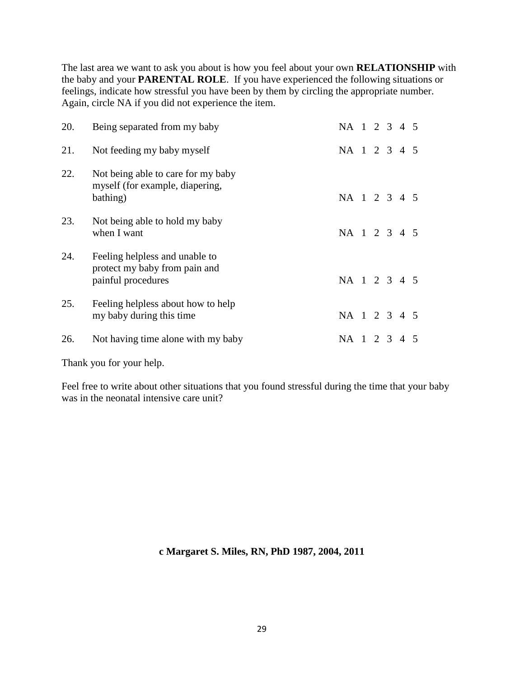The last area we want to ask you about is how you feel about your own **RELATIONSHIP** with the baby and your **PARENTAL ROLE**. If you have experienced the following situations or feelings, indicate how stressful you have been by them by circling the appropriate number. Again, circle NA if you did not experience the item.

| 20. | Being separated from my baby                                                          | NA 1 2 3 4 5 |  |         |  |
|-----|---------------------------------------------------------------------------------------|--------------|--|---------|--|
| 21. | Not feeding my baby myself                                                            | NA 1 2 3 4 5 |  |         |  |
| 22. | Not being able to care for my baby<br>myself (for example, diapering,<br>bathing)     | NA 1 2 3 4 5 |  |         |  |
| 23. | Not being able to hold my baby<br>when I want                                         | NA 1 2 3 4 5 |  |         |  |
| 24. | Feeling helpless and unable to<br>protect my baby from pain and<br>painful procedures | NA 1 2 3 4 5 |  |         |  |
| 25. | Feeling helpless about how to help<br>my baby during this time                        | NA 1 2 3 4 5 |  |         |  |
| 26. | Not having time alone with my baby                                                    | $NA$ 1       |  | 2 3 4 5 |  |

Thank you for your help.

Feel free to write about other situations that you found stressful during the time that your baby was in the neonatal intensive care unit?

**c Margaret S. Miles, RN, PhD 1987, 2004, 2011**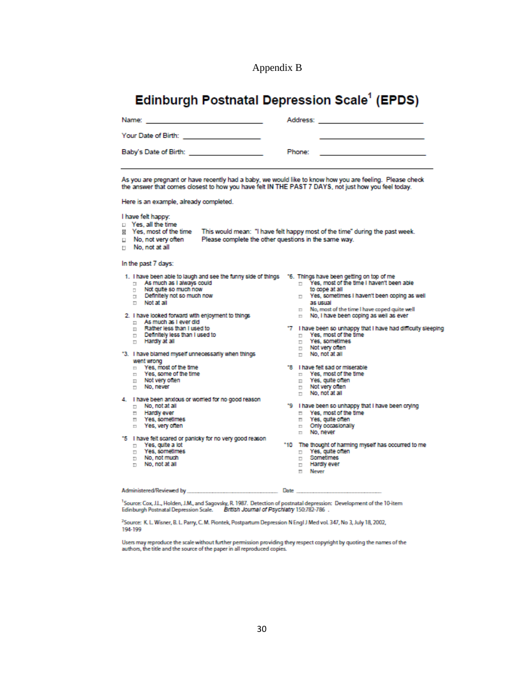Appendix B

# Edinburgh Postnatal Depression Scale<sup>1</sup> (EPDS)

| Your Date of Birth: Your Date             |        |                                                                                 |
|-------------------------------------------|--------|---------------------------------------------------------------------------------|
| Baby's Date of Birth: <b>Example 2018</b> | Phone: | the contract of the contract of the contract of the contract of the contract of |

As you are pregnant or have recently had a baby, we would like to know how you are feeling. Please check the answer that comes closest to how you have felt IN THE PAST 7 DAYS, not just how you feel today.

Here is an example, already completed.

#### I have felt happy:

- D Yes, all the time
- | Yes, most of the time This would mean: "I have felt happy most of the time" during the past week.
- $\Box$  No, not very often Please complete the other questions in the same way.
- $n$  No. not at all

#### In the past 7 days:

- 1. Thave been able to laugh and see the funny side of things  $-$  16. Things have been getting on top of me  $\Box$  As much as I always could
- 
- Not quite so much now  $\Box$
- Definitely not so much now
- $\Box$  Not at all

#### 2. I have looked forward with enjoyment to things

- As much as I ever did
- Rather less than Lused to E.  $\Box$  Nation less than 1 used to  $\Box$  Hardly at all
- 
- 
- "3. I have blamed myself unnecessarily when things went wrong
	- $\Box$  Yes, most of the time
	- The Yes, some of the time
	- $\Box$  Not very often<br> $\Box$  No, never
	-
- 4. I have been anxious or worried for no good reason
	- $\Box$  No, not at all Hardly ever
	- T Yes, sometimes
	- □ Yes, very often
	-
- "5 I have felt scared or panicky for no very good reason
	- Yes, quite a lot  $\Box$
	- $\Box$ Yes, sometimes
	- No, not much  $\Box$
	- $\Box$  No, not at all
- - to cope at all
	- T Yes, sometimes I haven't been coping as well as usual
	- n No, most of the time I have coped quite well
	- n No, I have been coping as well as ever
- 
- "7 I have been so unhappy that I have had difficulty sleeping  $\Box$  Yes, most of the time  $\Box$  Yes, sometimes
	-
	- $\Box$  Not very often  $\Box$  No, not at all
	-
- \*8 I have felt sad or miserable
	- m Yes, most of the time P Yes, guite often
	- Not very often  $\Box$
	- $\Box$  No, not at all
- "9 I have been so unhappy that I have been crying
	- T Yes, most of the time
	- T Yes, quite often
	- n Only occasionally
	- $n$  No, never
- \*10 The thought of harming myself has occurred to me
	- $\Box$  Yes, quite often
	-
	- **Hardly ever**  $\Box$
	- $\Box$  Never

Administered/Reviewed by

<sup>1</sup>Source: Cox, J.L., Holden, J.M., and Sagovsky, R. 1987. Detection of postnatal depression: Development of the 10-item Edinburgh Postnatal Depression Scale. . British Journal of Psychlatry 150:782-786

Date

<sup>2</sup>Source: K. L. Wisner, B. L. Parry, C. M. Piontek, Postpartum Depression N Engl J Med vol. 347, No 3, July 18, 2002, 194-199

Users may reproduce the scale without further permission providing they respect copyright by quoting the names of the authors, the title and the source of the paper in all reproduced copies.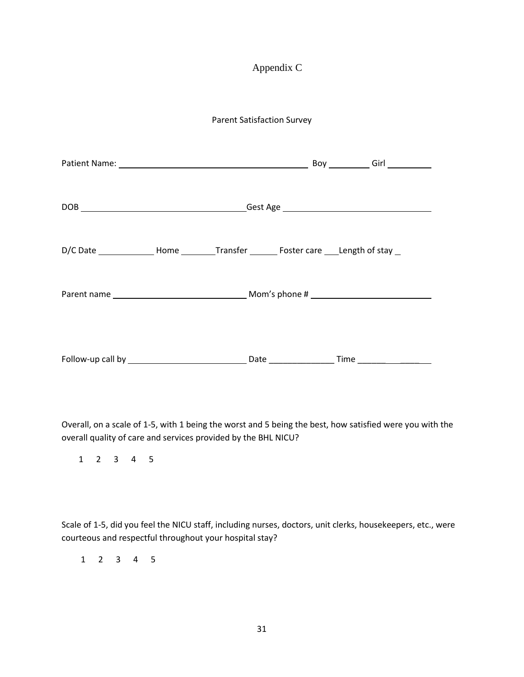# Appendix C

## Parent Satisfaction Survey

Overall, on a scale of 1-5, with 1 being the worst and 5 being the best, how satisfied were you with the overall quality of care and services provided by the BHL NICU?

1 2 3 4 5

Scale of 1-5, did you feel the NICU staff, including nurses, doctors, unit clerks, housekeepers, etc., were courteous and respectful throughout your hospital stay?

1 2 3 4 5